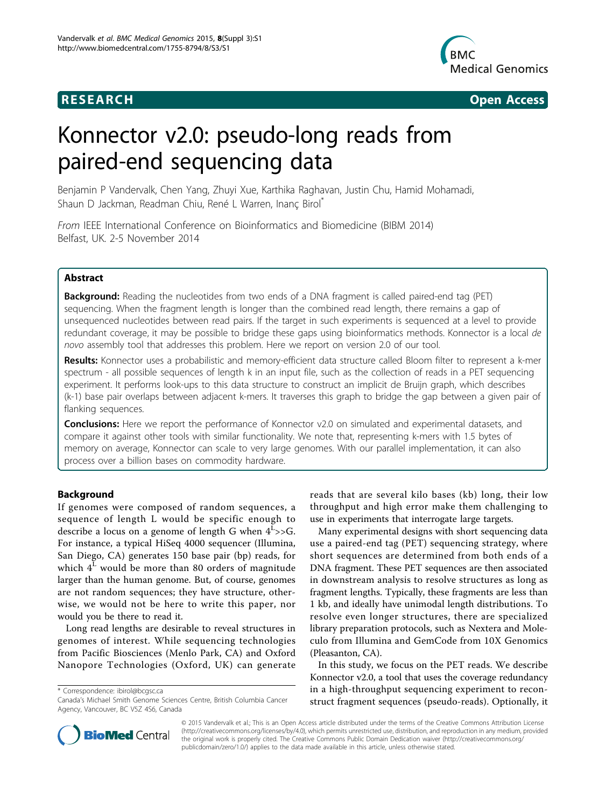

**RESEARCH CONSTRUCTED ACCESS** 

# Konnector v2.0: pseudo-long reads from paired-end sequencing data

Benjamin P Vandervalk, Chen Yang, Zhuyi Xue, Karthika Raghavan, Justin Chu, Hamid Mohamadi, Shaun D Jackman, Readman Chiu, René L Warren, Inanç Birol\*

From IEEE International Conference on Bioinformatics and Biomedicine (BIBM 2014) Belfast, UK. 2-5 November 2014

# Abstract

**Background:** Reading the nucleotides from two ends of a DNA fragment is called paired-end tag (PET) sequencing. When the fragment length is longer than the combined read length, there remains a gap of unsequenced nucleotides between read pairs. If the target in such experiments is sequenced at a level to provide redundant coverage, it may be possible to bridge these gaps using bioinformatics methods. Konnector is a local de novo assembly tool that addresses this problem. Here we report on version 2.0 of our tool.

Results: Konnector uses a probabilistic and memory-efficient data structure called Bloom filter to represent a k-mer spectrum - all possible sequences of length k in an input file, such as the collection of reads in a PET sequencing experiment. It performs look-ups to this data structure to construct an implicit de Bruijn graph, which describes (k-1) base pair overlaps between adjacent k-mers. It traverses this graph to bridge the gap between a given pair of flanking sequences.

**Conclusions:** Here we report the performance of Konnector v2.0 on simulated and experimental datasets, and compare it against other tools with similar functionality. We note that, representing k-mers with 1.5 bytes of memory on average, Konnector can scale to very large genomes. With our parallel implementation, it can also process over a billion bases on commodity hardware.

# Background

If genomes were composed of random sequences, a sequence of length L would be specific enough to describe a locus on a genome of length G when  $4^{L}>>G$ . For instance, a typical HiSeq 4000 sequencer (Illumina, San Diego, CA) generates 150 base pair (bp) reads, for which  $4^L$  would be more than 80 orders of magnitude larger than the human genome. But, of course, genomes are not random sequences; they have structure, otherwise, we would not be here to write this paper, nor would you be there to read it.

Long read lengths are desirable to reveal structures in genomes of interest. While sequencing technologies from Pacific Biosciences (Menlo Park, CA) and Oxford Nanopore Technologies (Oxford, UK) can generate

\* Correspondence: [ibirol@bcgsc.ca](mailto:ibirol@bcgsc.ca)

reads that are several kilo bases (kb) long, their low throughput and high error make them challenging to use in experiments that interrogate large targets.

Many experimental designs with short sequencing data use a paired-end tag (PET) sequencing strategy, where short sequences are determined from both ends of a DNA fragment. These PET sequences are then associated in downstream analysis to resolve structures as long as fragment lengths. Typically, these fragments are less than 1 kb, and ideally have unimodal length distributions. To resolve even longer structures, there are specialized library preparation protocols, such as Nextera and Moleculo from Illumina and GemCode from 10X Genomics (Pleasanton, CA).

In this study, we focus on the PET reads. We describe Konnector v2.0, a tool that uses the coverage redundancy in a high-throughput sequencing experiment to reconstruct fragment sequences (pseudo-reads). Optionally, it



© 2015 Vandervalk et al.; This is an Open Access article distributed under the terms of the Creative Commons Attribution License [\(http://creativecommons.org/licenses/by/4.0](http://creativecommons.org/licenses/by/4.0)), which permits unrestricted use, distribution, and reproduction in any medium, provided the original work is properly cited. The Creative Commons Public Domain Dedication waiver ([http://creativecommons.org/](http://creativecommons.org/publicdomain/zero/1.0/) [publicdomain/zero/1.0/](http://creativecommons.org/publicdomain/zero/1.0/)) applies to the data made available in this article, unless otherwise stated

Canada's Michael Smith Genome Sciences Centre, British Columbia Cancer Agency, Vancouver, BC V5Z 4S6, Canada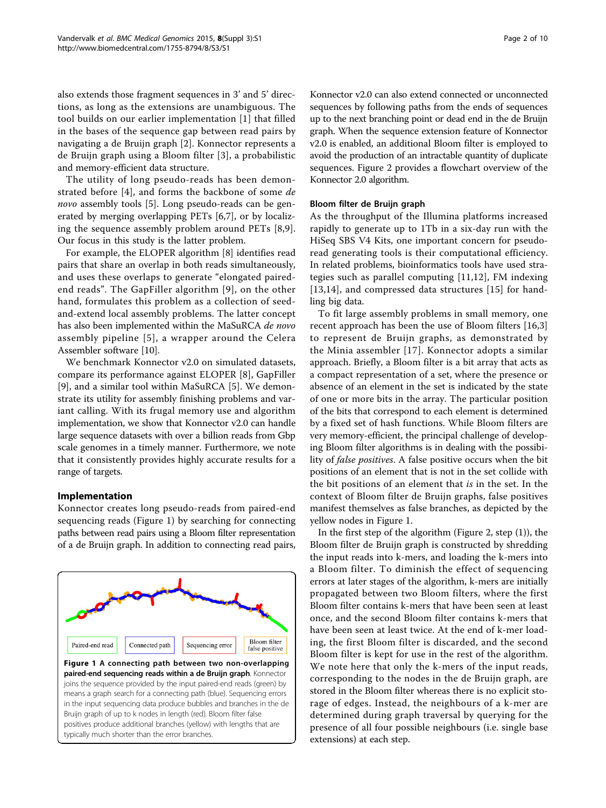<span id="page-1-0"></span>also extends those fragment sequences in 3' and 5' directions, as long as the extensions are unambiguous. The tool builds on our earlier implementation [[1\]](#page-8-0) that filled in the bases of the sequence gap between read pairs by navigating a de Bruijn graph [[2](#page-8-0)]. Konnector represents a de Bruijn graph using a Bloom filter [[3\]](#page-8-0), a probabilistic and memory-efficient data structure.

The utility of long pseudo-reads has been demon-strated before [\[4](#page-9-0)], and forms the backbone of some de novo assembly tools [[5\]](#page-9-0). Long pseudo-reads can be generated by merging overlapping PETs [[6,7\]](#page-9-0), or by localizing the sequence assembly problem around PETs [[8,9](#page-9-0)]. Our focus in this study is the latter problem.

For example, the ELOPER algorithm [[8](#page-9-0)] identifies read pairs that share an overlap in both reads simultaneously, and uses these overlaps to generate "elongated pairedend reads". The GapFiller algorithm [[9](#page-9-0)], on the other hand, formulates this problem as a collection of seedand-extend local assembly problems. The latter concept has also been implemented within the MaSuRCA de novo assembly pipeline [[5](#page-9-0)], a wrapper around the Celera Assembler software [[10\]](#page-9-0).

We benchmark Konnector v2.0 on simulated datasets, compare its performance against ELOPER [[8\]](#page-9-0), GapFiller [[9\]](#page-9-0), and a similar tool within MaSuRCA [[5\]](#page-9-0). We demonstrate its utility for assembly finishing problems and variant calling. With its frugal memory use and algorithm implementation, we show that Konnector v2.0 can handle large sequence datasets with over a billion reads from Gbp scale genomes in a timely manner. Furthermore, we note that it consistently provides highly accurate results for a range of targets.

# Implementation

Konnector creates long pseudo-reads from paired-end sequencing reads (Figure 1) by searching for connecting paths between read pairs using a Bloom filter representation of a de Bruijn graph. In addition to connecting read pairs,



typically much shorter than the error branches.

Konnector v2.0 can also extend connected or unconnected sequences by following paths from the ends of sequences up to the next branching point or dead end in the de Bruijn graph. When the sequence extension feature of Konnector v2.0 is enabled, an additional Bloom filter is employed to avoid the production of an intractable quantity of duplicate sequences. Figure [2](#page-2-0) provides a flowchart overview of the Konnector 2.0 algorithm.

# Bloom filter de Bruijn graph

As the throughput of the Illumina platforms increased rapidly to generate up to 1Tb in a six-day run with the HiSeq SBS V4 Kits, one important concern for pseudoread generating tools is their computational efficiency. In related problems, bioinformatics tools have used strategies such as parallel computing [[11](#page-9-0),[12\]](#page-9-0), FM indexing [[13,14\]](#page-9-0), and compressed data structures [[15\]](#page-9-0) for handling big data.

To fit large assembly problems in small memory, one recent approach has been the use of Bloom filters [[16](#page-9-0)[,3](#page-8-0)] to represent de Bruijn graphs, as demonstrated by the Minia assembler [[17\]](#page-9-0). Konnector adopts a similar approach. Briefly, a Bloom filter is a bit array that acts as a compact representation of a set, where the presence or absence of an element in the set is indicated by the state of one or more bits in the array. The particular position of the bits that correspond to each element is determined by a fixed set of hash functions. While Bloom filters are very memory-efficient, the principal challenge of developing Bloom filter algorithms is in dealing with the possibility of false positives. A false positive occurs when the bit positions of an element that is not in the set collide with the bit positions of an element that is in the set. In the context of Bloom filter de Bruijn graphs, false positives manifest themselves as false branches, as depicted by the yellow nodes in Figure 1.

In the first step of the algorithm (Figure [2](#page-2-0), step  $(1)$ ), the Bloom filter de Bruijn graph is constructed by shredding the input reads into k-mers, and loading the k-mers into a Bloom filter. To diminish the effect of sequencing errors at later stages of the algorithm, k-mers are initially propagated between two Bloom filters, where the first Bloom filter contains k-mers that have been seen at least once, and the second Bloom filter contains k-mers that have been seen at least twice. At the end of k-mer loading, the first Bloom filter is discarded, and the second Bloom filter is kept for use in the rest of the algorithm. We note here that only the k-mers of the input reads, corresponding to the nodes in the de Bruijn graph, are stored in the Bloom filter whereas there is no explicit storage of edges. Instead, the neighbours of a k-mer are determined during graph traversal by querying for the presence of all four possible neighbours (i.e. single base extensions) at each step.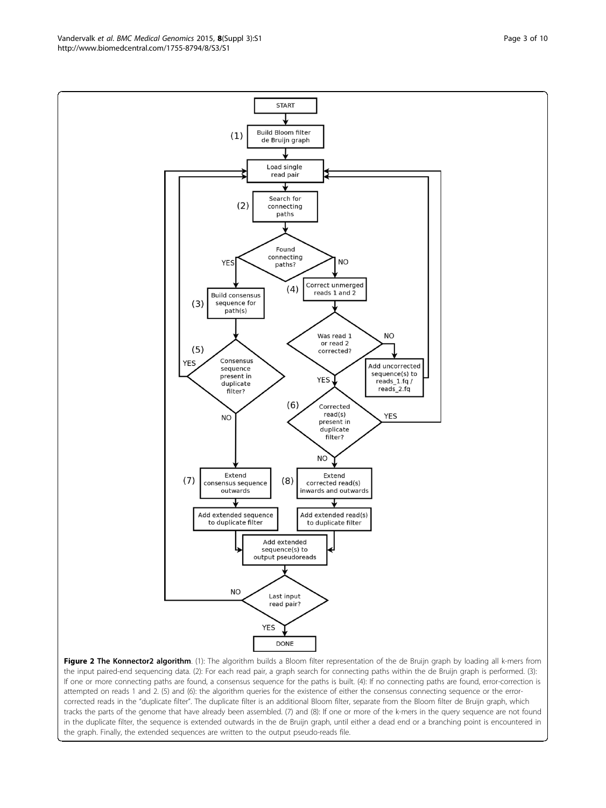<span id="page-2-0"></span>Vandervalk et al. BMC Medical Genomics 2015, 8(Suppl 3):S1 http://www.biomedcentral.com/1755-8794/8/S3/S1



Figure 2 The Konnector2 algorithm. (1): The algorithm builds a Bloom filter representation of the de Bruijn graph by loading all k-mers from the input paired-end sequencing data. (2): For each read pair, a graph search for connecting paths within the de Bruijn graph is performed. (3): If one or more connecting paths are found, a consensus sequence for the paths is built. (4): If no connecting paths are found, error-correction is attempted on reads 1 and 2. (5) and (6): the algorithm queries for the existence of either the consensus connecting sequence or the errorcorrected reads in the "duplicate filter". The duplicate filter is an additional Bloom filter, separate from the Bloom filter de Bruijn graph, which tracks the parts of the genome that have already been assembled. (7) and (8): If one or more of the k-mers in the query sequence are not found in the duplicate filter, the sequence is extended outwards in the de Bruijn graph, until either a dead end or a branching point is encountered in the graph. Finally, the extended sequences are written to the output pseudo-reads file.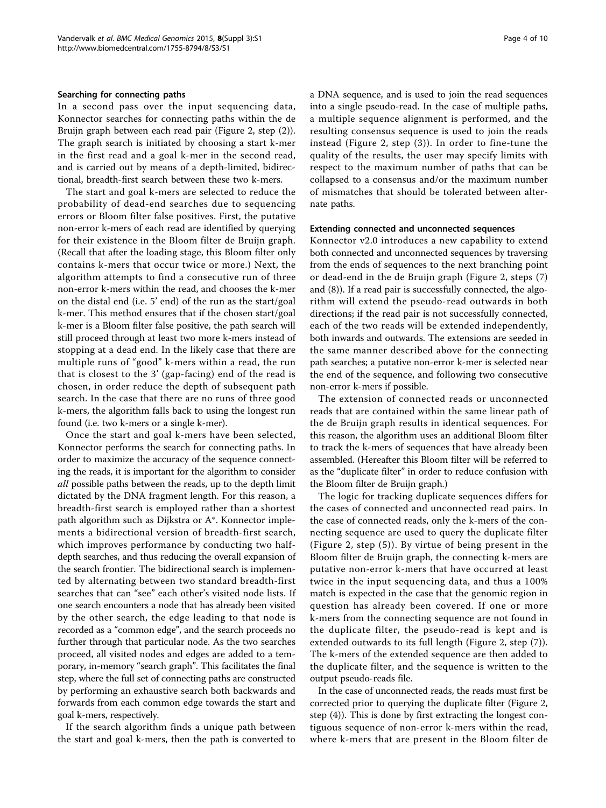#### Searching for connecting paths

In a second pass over the input sequencing data, Konnector searches for connecting paths within the de Bruijn graph between each read pair (Figure [2,](#page-2-0) step (2)). The graph search is initiated by choosing a start k-mer in the first read and a goal k-mer in the second read, and is carried out by means of a depth-limited, bidirectional, breadth-first search between these two k-mers.

The start and goal k-mers are selected to reduce the probability of dead-end searches due to sequencing errors or Bloom filter false positives. First, the putative non-error k-mers of each read are identified by querying for their existence in the Bloom filter de Bruijn graph. (Recall that after the loading stage, this Bloom filter only contains k-mers that occur twice or more.) Next, the algorithm attempts to find a consecutive run of three non-error k-mers within the read, and chooses the k-mer on the distal end (i.e. 5' end) of the run as the start/goal k-mer. This method ensures that if the chosen start/goal k-mer is a Bloom filter false positive, the path search will still proceed through at least two more k-mers instead of stopping at a dead end. In the likely case that there are multiple runs of "good" k-mers within a read, the run that is closest to the 3' (gap-facing) end of the read is chosen, in order reduce the depth of subsequent path search. In the case that there are no runs of three good k-mers, the algorithm falls back to using the longest run found (i.e. two k-mers or a single k-mer).

Once the start and goal k-mers have been selected, Konnector performs the search for connecting paths. In order to maximize the accuracy of the sequence connecting the reads, it is important for the algorithm to consider all possible paths between the reads, up to the depth limit dictated by the DNA fragment length. For this reason, a breadth-first search is employed rather than a shortest path algorithm such as Dijkstra or A\*. Konnector implements a bidirectional version of breadth-first search, which improves performance by conducting two halfdepth searches, and thus reducing the overall expansion of the search frontier. The bidirectional search is implemented by alternating between two standard breadth-first searches that can "see" each other's visited node lists. If one search encounters a node that has already been visited by the other search, the edge leading to that node is recorded as a "common edge", and the search proceeds no further through that particular node. As the two searches proceed, all visited nodes and edges are added to a temporary, in-memory "search graph". This facilitates the final step, where the full set of connecting paths are constructed by performing an exhaustive search both backwards and forwards from each common edge towards the start and goal k-mers, respectively.

If the search algorithm finds a unique path between the start and goal k-mers, then the path is converted to a DNA sequence, and is used to join the read sequences into a single pseudo-read. In the case of multiple paths, a multiple sequence alignment is performed, and the resulting consensus sequence is used to join the reads instead (Figure [2](#page-2-0), step (3)). In order to fine-tune the quality of the results, the user may specify limits with respect to the maximum number of paths that can be collapsed to a consensus and/or the maximum number of mismatches that should be tolerated between alternate paths.

#### Extending connected and unconnected sequences

Konnector v2.0 introduces a new capability to extend both connected and unconnected sequences by traversing from the ends of sequences to the next branching point or dead-end in the de Bruijn graph (Figure [2,](#page-2-0) steps (7) and (8)). If a read pair is successfully connected, the algorithm will extend the pseudo-read outwards in both directions; if the read pair is not successfully connected, each of the two reads will be extended independently, both inwards and outwards. The extensions are seeded in the same manner described above for the connecting path searches; a putative non-error k-mer is selected near the end of the sequence, and following two consecutive non-error k-mers if possible.

The extension of connected reads or unconnected reads that are contained within the same linear path of the de Bruijn graph results in identical sequences. For this reason, the algorithm uses an additional Bloom filter to track the k-mers of sequences that have already been assembled. (Hereafter this Bloom filter will be referred to as the "duplicate filter" in order to reduce confusion with the Bloom filter de Bruijn graph.)

The logic for tracking duplicate sequences differs for the cases of connected and unconnected read pairs. In the case of connected reads, only the k-mers of the connecting sequence are used to query the duplicate filter (Figure [2](#page-2-0), step (5)). By virtue of being present in the Bloom filter de Bruijn graph, the connecting k-mers are putative non-error k-mers that have occurred at least twice in the input sequencing data, and thus a 100% match is expected in the case that the genomic region in question has already been covered. If one or more k-mers from the connecting sequence are not found in the duplicate filter, the pseudo-read is kept and is extended outwards to its full length (Figure [2](#page-2-0), step (7)). The k-mers of the extended sequence are then added to the duplicate filter, and the sequence is written to the output pseudo-reads file.

In the case of unconnected reads, the reads must first be corrected prior to querying the duplicate filter (Figure [2](#page-2-0), step (4)). This is done by first extracting the longest contiguous sequence of non-error k-mers within the read, where k-mers that are present in the Bloom filter de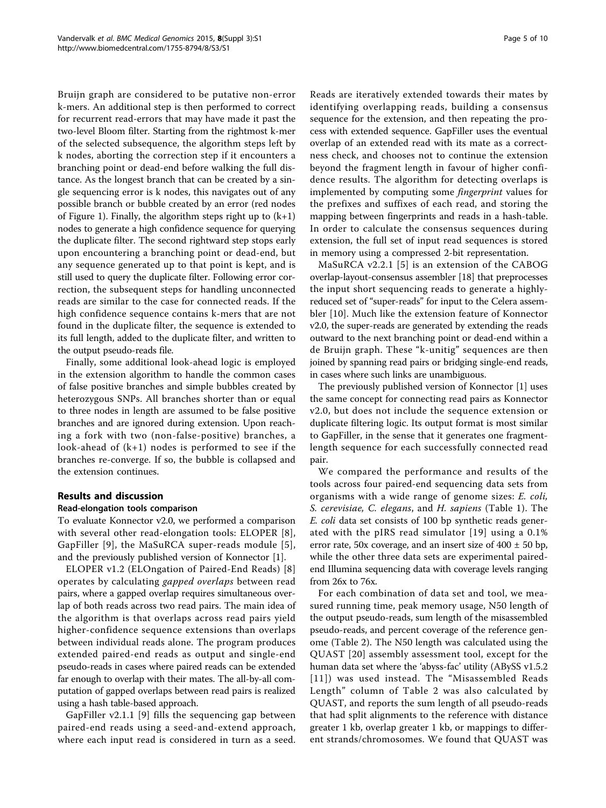Bruijn graph are considered to be putative non-error k-mers. An additional step is then performed to correct for recurrent read-errors that may have made it past the two-level Bloom filter. Starting from the rightmost k-mer of the selected subsequence, the algorithm steps left by k nodes, aborting the correction step if it encounters a branching point or dead-end before walking the full distance. As the longest branch that can be created by a single sequencing error is k nodes, this navigates out of any possible branch or bubble created by an error (red nodes of Figure [1\)](#page-1-0). Finally, the algorithm steps right up to  $(k+1)$ nodes to generate a high confidence sequence for querying the duplicate filter. The second rightward step stops early upon encountering a branching point or dead-end, but any sequence generated up to that point is kept, and is still used to query the duplicate filter. Following error correction, the subsequent steps for handling unconnected reads are similar to the case for connected reads. If the high confidence sequence contains k-mers that are not found in the duplicate filter, the sequence is extended to its full length, added to the duplicate filter, and written to the output pseudo-reads file.

Finally, some additional look-ahead logic is employed in the extension algorithm to handle the common cases of false positive branches and simple bubbles created by heterozygous SNPs. All branches shorter than or equal to three nodes in length are assumed to be false positive branches and are ignored during extension. Upon reaching a fork with two (non-false-positive) branches, a look-ahead of  $(k+1)$  nodes is performed to see if the branches re-converge. If so, the bubble is collapsed and the extension continues.

# Results and discussion

# Read-elongation tools comparison

To evaluate Konnector v2.0, we performed a comparison with several other read-elongation tools: ELOPER [[8](#page-9-0)], GapFiller [[9](#page-9-0)], the MaSuRCA super-reads module [[5\]](#page-9-0), and the previously published version of Konnector [\[1](#page-8-0)].

ELOPER v1.2 (ELOngation of Paired-End Reads) [\[8](#page-9-0)] operates by calculating gapped overlaps between read pairs, where a gapped overlap requires simultaneous overlap of both reads across two read pairs. The main idea of the algorithm is that overlaps across read pairs yield higher-confidence sequence extensions than overlaps between individual reads alone. The program produces extended paired-end reads as output and single-end pseudo-reads in cases where paired reads can be extended far enough to overlap with their mates. The all-by-all computation of gapped overlaps between read pairs is realized using a hash table-based approach.

GapFiller v2.1.1 [[9](#page-9-0)] fills the sequencing gap between paired-end reads using a seed-and-extend approach, where each input read is considered in turn as a seed.

Reads are iteratively extended towards their mates by identifying overlapping reads, building a consensus sequence for the extension, and then repeating the process with extended sequence. GapFiller uses the eventual overlap of an extended read with its mate as a correctness check, and chooses not to continue the extension beyond the fragment length in favour of higher confidence results. The algorithm for detecting overlaps is implemented by computing some fingerprint values for the prefixes and suffixes of each read, and storing the mapping between fingerprints and reads in a hash-table. In order to calculate the consensus sequences during extension, the full set of input read sequences is stored in memory using a compressed 2-bit representation.

MaSuRCA v2.2.1 [[5\]](#page-9-0) is an extension of the CABOG overlap-layout-consensus assembler [[18](#page-9-0)] that preprocesses the input short sequencing reads to generate a highlyreduced set of "super-reads" for input to the Celera assembler [\[10](#page-9-0)]. Much like the extension feature of Konnector v2.0, the super-reads are generated by extending the reads outward to the next branching point or dead-end within a de Bruijn graph. These "k-unitig" sequences are then joined by spanning read pairs or bridging single-end reads, in cases where such links are unambiguous.

The previously published version of Konnector [\[1](#page-8-0)] uses the same concept for connecting read pairs as Konnector v2.0, but does not include the sequence extension or duplicate filtering logic. Its output format is most similar to GapFiller, in the sense that it generates one fragmentlength sequence for each successfully connected read pair.

We compared the performance and results of the tools across four paired-end sequencing data sets from organisms with a wide range of genome sizes: E. coli, S. cerevisiae, C. elegans, and H. sapiens (Table [1\)](#page-5-0). The E. coli data set consists of 100 bp synthetic reads generated with the pIRS read simulator [[19\]](#page-9-0) using a 0.1% error rate, 50x coverage, and an insert size of  $400 \pm 50$  bp, while the other three data sets are experimental pairedend Illumina sequencing data with coverage levels ranging from 26x to 76x.

For each combination of data set and tool, we measured running time, peak memory usage, N50 length of the output pseudo-reads, sum length of the misassembled pseudo-reads, and percent coverage of the reference genome (Table [2](#page-5-0)). The N50 length was calculated using the QUAST [[20](#page-9-0)] assembly assessment tool, except for the human data set where the 'abyss-fac' utility (ABySS v1.5.2 [[11](#page-9-0)]) was used instead. The "Misassembled Reads Length" column of Table [2](#page-5-0) was also calculated by QUAST, and reports the sum length of all pseudo-reads that had split alignments to the reference with distance greater 1 kb, overlap greater 1 kb, or mappings to different strands/chromosomes. We found that QUAST was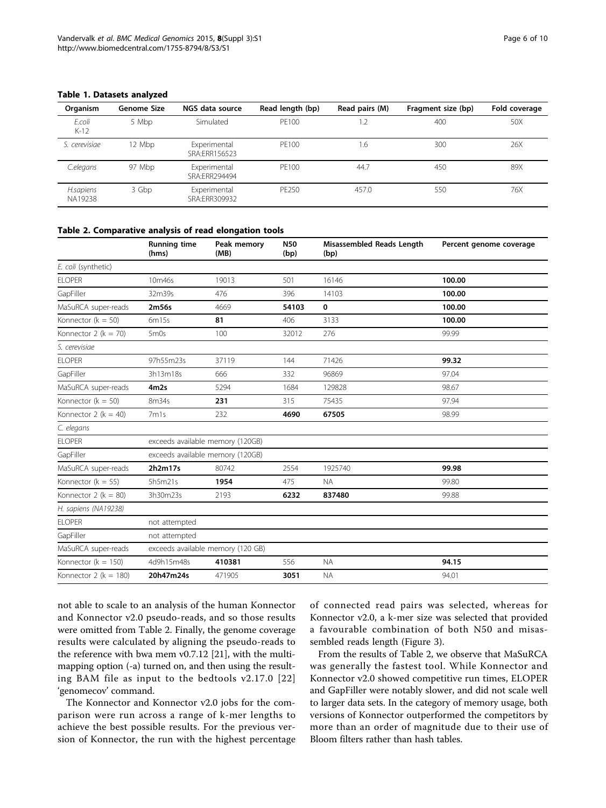#### <span id="page-5-0"></span>Table 1. Datasets analyzed

| Organism             | Genome Size | NGS data source                | Read length (bp) | Read pairs (M) | Fragment size (bp) | Fold coverage |
|----------------------|-------------|--------------------------------|------------------|----------------|--------------------|---------------|
| E.coli<br>$K-12$     | 5 Mbp       | Simulated                      | PE100            | 1.2            | 400                | 50X           |
| S. cerevisiae        | 12 Mbp      | Experimental<br>SRA: FRR156523 | PE100            | 1.6            | 300                | 26X           |
| C.elegans            | 97 Mbp      | Experimental<br>SRA:FRR294494  | PE100            | 44.7           | 450                | 89X           |
| H.sapiens<br>NA19238 | 3 Gbp       | Experimental<br>SRA:ERR309932  | PE250            | 457.0          | 550                | 76X           |

#### Table 2. Comparative analysis of read elongation tools

|                           | <b>Running time</b><br>(hms)     | Peak memory<br>(MB)               | <b>N50</b><br>(bp) | Misassembled Reads Length<br>(bp) | Percent genome coverage |
|---------------------------|----------------------------------|-----------------------------------|--------------------|-----------------------------------|-------------------------|
| E. coli (synthetic)       |                                  |                                   |                    |                                   |                         |
| <b>FI OPFR</b>            | 10m46s                           | 19013                             | 501                | 16146                             | 100.00                  |
| GapFiller                 | 32m39s                           | 476                               | 396                | 14103                             | 100.00                  |
| MaSuRCA super-reads       | 2m56s                            | 4669                              | 54103              | $\mathbf 0$                       | 100.00                  |
| Konnector ( $k = 50$ )    | 6m15s                            | 81                                | 406                | 3133                              | 100.00                  |
| Konnector 2 ( $k = 70$ )  | 5m0s                             | 100                               | 32012              | 276                               | 99.99                   |
| S. cerevisiae             |                                  |                                   |                    |                                   |                         |
| <b>ELOPER</b>             | 97h55m23s                        | 37119                             | 144                | 71426                             | 99.32                   |
| GapFiller                 | 3h13m18s                         | 666                               | 332                | 96869                             | 97.04                   |
| MaSuRCA super-reads       | 4m2s                             | 5294                              | 1684               | 129828                            | 98.67                   |
| Konnector ( $k = 50$ )    | 8m34s                            | 231                               | 315                | 75435                             | 97.94                   |
| Konnector 2 ( $k = 40$ )  | 7 <sub>m1s</sub>                 | 232                               | 4690               | 67505                             | 98.99                   |
| C. elegans                |                                  |                                   |                    |                                   |                         |
| <b>ELOPER</b>             | exceeds available memory (120GB) |                                   |                    |                                   |                         |
| GapFiller                 | exceeds available memory (120GB) |                                   |                    |                                   |                         |
| MaSuRCA super-reads       | 2h2m17s                          | 80742                             | 2554               | 1925740                           | 99.98                   |
| Konnector ( $k = 55$ )    | 5h5m21s                          | 1954                              | 475                | <b>NA</b>                         | 99.80                   |
| Konnector 2 ( $k = 80$ )  | 3h30m23s                         | 2193                              | 6232               | 837480                            | 99.88                   |
| H. sapiens (NA19238)      |                                  |                                   |                    |                                   |                         |
| <b>ELOPER</b>             | not attempted                    |                                   |                    |                                   |                         |
| GapFiller                 | not attempted                    |                                   |                    |                                   |                         |
| MaSuRCA super-reads       |                                  | exceeds available memory (120 GB) |                    |                                   |                         |
| Konnector ( $k = 150$ )   | 4d9h15m48s                       | 410381                            | 556                | <b>NA</b>                         | 94.15                   |
| Konnector 2 ( $k = 180$ ) | 20h47m24s                        | 471905                            | 3051               | <b>NA</b>                         | 94.01                   |

not able to scale to an analysis of the human Konnector and Konnector v2.0 pseudo-reads, and so those results were omitted from Table 2. Finally, the genome coverage results were calculated by aligning the pseudo-reads to the reference with bwa mem v0.7.12 [[21\]](#page-9-0), with the multimapping option (-a) turned on, and then using the resulting BAM file as input to the bedtools v2.17.0 [[22](#page-9-0)] 'genomecov' command.

The Konnector and Konnector v2.0 jobs for the comparison were run across a range of k-mer lengths to achieve the best possible results. For the previous version of Konnector, the run with the highest percentage

of connected read pairs was selected, whereas for Konnector v2.0, a k-mer size was selected that provided a favourable combination of both N50 and misassembled reads length (Figure [3\)](#page-6-0).

From the results of Table 2, we observe that MaSuRCA was generally the fastest tool. While Konnector and Konnector v2.0 showed competitive run times, ELOPER and GapFiller were notably slower, and did not scale well to larger data sets. In the category of memory usage, both versions of Konnector outperformed the competitors by more than an order of magnitude due to their use of Bloom filters rather than hash tables.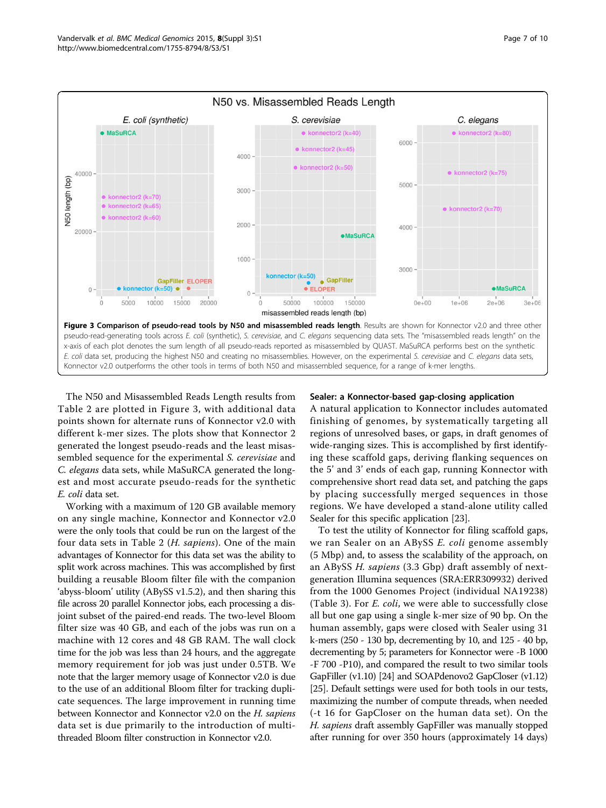<span id="page-6-0"></span>

The N50 and Misassembled Reads Length results from Table [2](#page-5-0) are plotted in Figure 3, with additional data points shown for alternate runs of Konnector v2.0 with different k-mer sizes. The plots show that Konnector 2 generated the longest pseudo-reads and the least misassembled sequence for the experimental S. cerevisiae and C. elegans data sets, while MaSuRCA generated the longest and most accurate pseudo-reads for the synthetic E. coli data set.

Working with a maximum of 120 GB available memory on any single machine, Konnector and Konnector v2.0 were the only tools that could be run on the largest of the four data sets in Table [2](#page-5-0) (H. sapiens). One of the main advantages of Konnector for this data set was the ability to split work across machines. This was accomplished by first building a reusable Bloom filter file with the companion 'abyss-bloom' utility (ABySS v1.5.2), and then sharing this file across 20 parallel Konnector jobs, each processing a disjoint subset of the paired-end reads. The two-level Bloom filter size was 40 GB, and each of the jobs was run on a machine with 12 cores and 48 GB RAM. The wall clock time for the job was less than 24 hours, and the aggregate memory requirement for job was just under 0.5TB. We note that the larger memory usage of Konnector v2.0 is due to the use of an additional Bloom filter for tracking duplicate sequences. The large improvement in running time between Konnector and Konnector v2.0 on the H. sapiens data set is due primarily to the introduction of multithreaded Bloom filter construction in Konnector v2.0.

# Sealer: a Konnector-based gap-closing application

A natural application to Konnector includes automated finishing of genomes, by systematically targeting all regions of unresolved bases, or gaps, in draft genomes of wide-ranging sizes. This is accomplished by first identifying these scaffold gaps, deriving flanking sequences on the 5' and 3' ends of each gap, running Konnector with comprehensive short read data set, and patching the gaps by placing successfully merged sequences in those regions. We have developed a stand-alone utility called Sealer for this specific application [[23\]](#page-9-0).

To test the utility of Konnector for filing scaffold gaps, we ran Sealer on an ABySS E. coli genome assembly (5 Mbp) and, to assess the scalability of the approach, on an ABySS H. sapiens (3.3 Gbp) draft assembly of nextgeneration Illumina sequences (SRA:ERR309932) derived from the 1000 Genomes Project (individual NA19238) (Table [3\)](#page-7-0). For E. coli, we were able to successfully close all but one gap using a single k-mer size of 90 bp. On the human assembly, gaps were closed with Sealer using 31 k-mers (250 - 130 bp, decrementing by 10, and 125 - 40 bp, decrementing by 5; parameters for Konnector were -B 1000 -F 700 -P10), and compared the result to two similar tools GapFiller (v1.10) [\[24\]](#page-9-0) and SOAPdenovo2 GapCloser (v1.12) [[25](#page-9-0)]. Default settings were used for both tools in our tests, maximizing the number of compute threads, when needed (-t 16 for GapCloser on the human data set). On the H. sapiens draft assembly GapFiller was manually stopped after running for over 350 hours (approximately 14 days)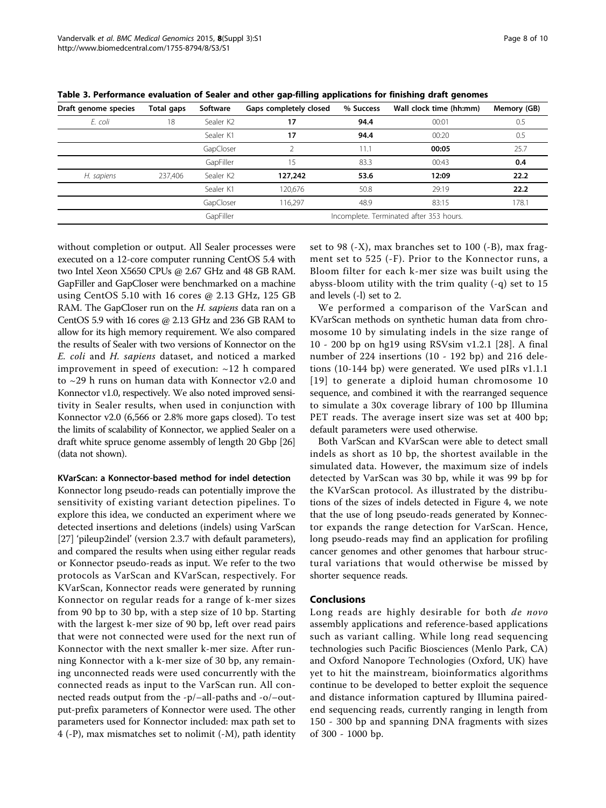| Draft genome species | Total gaps | Software  | Gaps completely closed | % Success | Wall clock time (hh:mm)                 | Memory (GB) |
|----------------------|------------|-----------|------------------------|-----------|-----------------------------------------|-------------|
| E. coli              | 18         | Sealer K2 | 17                     | 94.4      | 00:01                                   | 0.5         |
|                      |            | Sealer K1 | 17                     | 94.4      | 00:20                                   | 0.5         |
|                      |            | GapCloser |                        | 11.1      | 00:05                                   | 25.7        |
|                      |            | GapFiller | 15                     | 83.3      | 00:43                                   | 0.4         |
| H. sapiens           | 237,406    | Sealer K2 | 127,242                | 53.6      | 12:09                                   | 22.2        |
|                      |            | Sealer K1 | 120,676                | 50.8      | 29:19                                   | 22.2        |
|                      |            | GapCloser | 116,297                | 48.9      | 83:15                                   | 178.1       |
|                      |            | GapFiller |                        |           | Incomplete. Terminated after 353 hours. |             |

<span id="page-7-0"></span>Table 3. Performance evaluation of Sealer and other gap-filling applications for finishing draft genomes

without completion or output. All Sealer processes were executed on a 12-core computer running CentOS 5.4 with two Intel Xeon X5650 CPUs @ 2.67 GHz and 48 GB RAM. GapFiller and GapCloser were benchmarked on a machine using CentOS 5.10 with 16 cores @ 2.13 GHz, 125 GB RAM. The GapCloser run on the H. sapiens data ran on a CentOS 5.9 with 16 cores @ 2.13 GHz and 236 GB RAM to allow for its high memory requirement. We also compared the results of Sealer with two versions of Konnector on the E. coli and H. sapiens dataset, and noticed a marked improvement in speed of execution: ~12 h compared to ~29 h runs on human data with Konnector v2.0 and Konnector v1.0, respectively. We also noted improved sensitivity in Sealer results, when used in conjunction with Konnector v2.0 (6,566 or 2.8% more gaps closed). To test the limits of scalability of Konnector, we applied Sealer on a draft white spruce genome assembly of length 20 Gbp [[26](#page-9-0)] (data not shown).

# KVarScan: a Konnector-based method for indel detection

Konnector long pseudo-reads can potentially improve the sensitivity of existing variant detection pipelines. To explore this idea, we conducted an experiment where we detected insertions and deletions (indels) using VarScan [[27\]](#page-9-0) 'pileup2indel' (version 2.3.7 with default parameters), and compared the results when using either regular reads or Konnector pseudo-reads as input. We refer to the two protocols as VarScan and KVarScan, respectively. For KVarScan, Konnector reads were generated by running Konnector on regular reads for a range of k-mer sizes from 90 bp to 30 bp, with a step size of 10 bp. Starting with the largest k-mer size of 90 bp, left over read pairs that were not connected were used for the next run of Konnector with the next smaller k-mer size. After running Konnector with a k-mer size of 30 bp, any remaining unconnected reads were used concurrently with the connected reads as input to the VarScan run. All connected reads output from the -p/–all-paths and -o/–output-prefix parameters of Konnector were used. The other parameters used for Konnector included: max path set to 4 (-P), max mismatches set to nolimit (-M), path identity set to 98  $(-X)$ , max branches set to 100  $(-B)$ , max fragment set to 525 (-F). Prior to the Konnector runs, a Bloom filter for each k-mer size was built using the abyss-bloom utility with the trim quality (-q) set to 15 and levels (-l) set to 2.

We performed a comparison of the VarScan and KVarScan methods on synthetic human data from chromosome 10 by simulating indels in the size range of 10 - 200 bp on hg19 using RSVsim v1.2.1 [\[28](#page-9-0)]. A final number of 224 insertions (10 - 192 bp) and 216 deletions (10-144 bp) were generated. We used pIRs v1.1.1 [[19](#page-9-0)] to generate a diploid human chromosome 10 sequence, and combined it with the rearranged sequence to simulate a 30x coverage library of 100 bp Illumina PET reads. The average insert size was set at 400 bp; default parameters were used otherwise.

Both VarScan and KVarScan were able to detect small indels as short as 10 bp, the shortest available in the simulated data. However, the maximum size of indels detected by VarScan was 30 bp, while it was 99 bp for the KVarScan protocol. As illustrated by the distributions of the sizes of indels detected in Figure [4](#page-8-0), we note that the use of long pseudo-reads generated by Konnector expands the range detection for VarScan. Hence, long pseudo-reads may find an application for profiling cancer genomes and other genomes that harbour structural variations that would otherwise be missed by shorter sequence reads.

# Conclusions

Long reads are highly desirable for both de novo assembly applications and reference-based applications such as variant calling. While long read sequencing technologies such Pacific Biosciences (Menlo Park, CA) and Oxford Nanopore Technologies (Oxford, UK) have yet to hit the mainstream, bioinformatics algorithms continue to be developed to better exploit the sequence and distance information captured by Illumina pairedend sequencing reads, currently ranging in length from 150 - 300 bp and spanning DNA fragments with sizes of 300 - 1000 bp.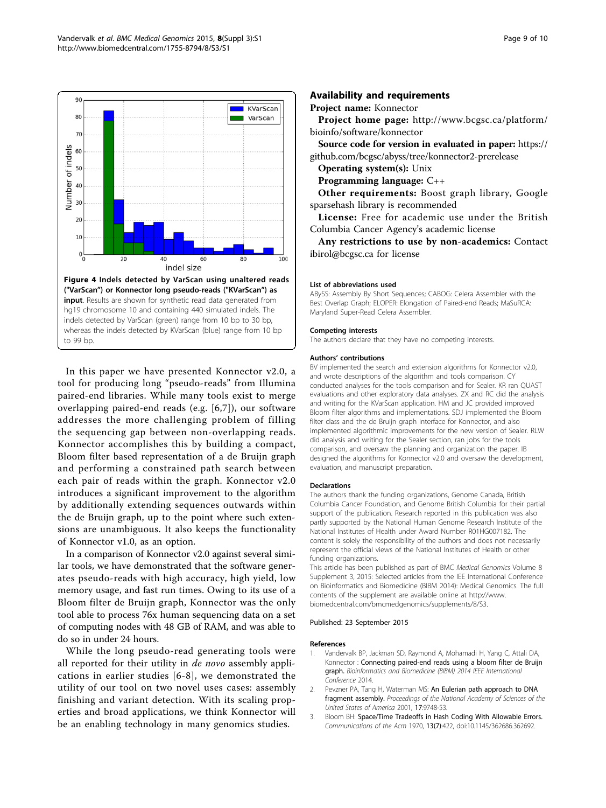<span id="page-8-0"></span>

In this paper we have presented Konnector v2.0, a tool for producing long "pseudo-reads" from Illumina paired-end libraries. While many tools exist to merge overlapping paired-end reads (e.g. [[6](#page-9-0),[7\]](#page-9-0)), our software addresses the more challenging problem of filling the sequencing gap between non-overlapping reads. Konnector accomplishes this by building a compact, Bloom filter based representation of a de Bruijn graph and performing a constrained path search between each pair of reads within the graph. Konnector v2.0 introduces a significant improvement to the algorithm by additionally extending sequences outwards within the de Bruijn graph, up to the point where such extensions are unambiguous. It also keeps the functionality of Konnector v1.0, as an option.

In a comparison of Konnector v2.0 against several similar tools, we have demonstrated that the software generates pseudo-reads with high accuracy, high yield, low memory usage, and fast run times. Owing to its use of a Bloom filter de Bruijn graph, Konnector was the only tool able to process 76x human sequencing data on a set of computing nodes with 48 GB of RAM, and was able to do so in under 24 hours.

While the long pseudo-read generating tools were all reported for their utility in *de novo* assembly applications in earlier studies [\[6-8\]](#page-9-0), we demonstrated the utility of our tool on two novel uses cases: assembly finishing and variant detection. With its scaling properties and broad applications, we think Konnector will be an enabling technology in many genomics studies.

# Availability and requirements

Project name: Konnector

Project home page: [http://www.bcgsc.ca/platform/](http://www.bcgsc.ca/platform/bioinfo/software/konnector) [bioinfo/software/konnector](http://www.bcgsc.ca/platform/bioinfo/software/konnector)

Source code for version in evaluated in paper: [https://](https://github.com/bcgsc/abyss/tree/konnector2-prerelease) [github.com/bcgsc/abyss/tree/konnector2-prerelease](https://github.com/bcgsc/abyss/tree/konnector2-prerelease)

Operating system(s): Unix

Programming language: C++

Other requirements: Boost graph library, Google sparsehash library is recommended

License: Free for academic use under the British Columbia Cancer Agency's academic license

Any restrictions to use by non-academics: Contact ibirol@bcgsc.ca for license

#### List of abbreviations used

ABySS: Assembly By Short Sequences; CABOG: Celera Assembler with the Best Overlap Graph; ELOPER: Elongation of Paired-end Reads; MaSuRCA: Maryland Super-Read Celera Assembler.

#### Competing interests

The authors declare that they have no competing interests.

#### Authors' contributions

BV implemented the search and extension algorithms for Konnector v2.0, and wrote descriptions of the algorithm and tools comparison. CY conducted analyses for the tools comparison and for Sealer. KR ran QUAST evaluations and other exploratory data analyses. ZX and RC did the analysis and writing for the KVarScan application. HM and JC provided improved Bloom filter algorithms and implementations. SDJ implemented the Bloom filter class and the de Bruijn graph interface for Konnector, and also implemented algorithmic improvements for the new version of Sealer. RLW did analysis and writing for the Sealer section, ran jobs for the tools comparison, and oversaw the planning and organization the paper. IB designed the algorithms for Konnector v2.0 and oversaw the development, evaluation, and manuscript preparation.

#### **Declarations**

The authors thank the funding organizations, Genome Canada, British Columbia Cancer Foundation, and Genome British Columbia for their partial support of the publication. Research reported in this publication was also partly supported by the National Human Genome Research Institute of the National Institutes of Health under Award Number R01HG007182. The content is solely the responsibility of the authors and does not necessarily represent the official views of the National Institutes of Health or other funding organizations.

This article has been published as part of BMC Medical Genomics Volume 8 Supplement 3, 2015: Selected articles from the IEE International Conference on Bioinformatics and Biomedicine (BIBM 2014): Medical Genomics. The full contents of the supplement are available online at [http://www.](http://www.biomedcentral.com/bmcmedgenomics/supplements/8/S3) [biomedcentral.com/bmcmedgenomics/supplements/8/S3](http://www.biomedcentral.com/bmcmedgenomics/supplements/8/S3).

#### Published: 23 September 2015

#### References

- 1. Vandervalk BP, Jackman SD, Raymond A, Mohamadi H, Yang C, Attali DA, Konnector : Connecting paired-end reads using a bloom filter de Bruijn graph. Bioinformatics and Biomedicine (BIBM) 2014 IEEE International Conference 2014.
- 2. Pevzner PA, Tang H, Waterman MS: An Eulerian path approach to DNA fragment assembly. Proceedings of the National Academy of Sciences of the United States of America 2001, 17:9748-53.
- 3. Bloom BH: Space/Time Tradeoffs in Hash Coding With Allowable Errors. Communications of the Acm 1970, 13(7):422, doi:10.1145/362686.362692.